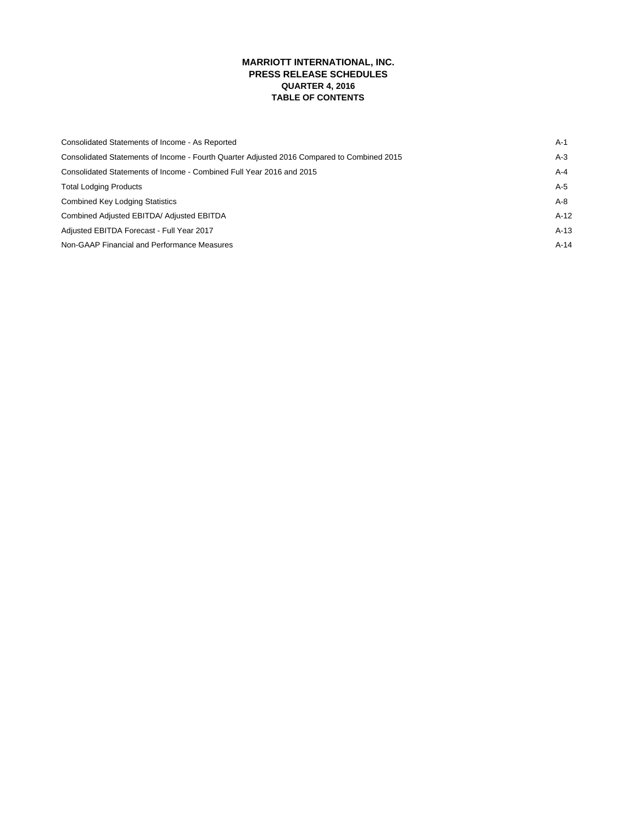# **MARRIOTT INTERNATIONAL, INC. PRESS RELEASE SCHEDULES QUARTER 4, 2016 TABLE OF CONTENTS**

| Consolidated Statements of Income - As Reported                                            | A-1    |
|--------------------------------------------------------------------------------------------|--------|
| Consolidated Statements of Income - Fourth Quarter Adjusted 2016 Compared to Combined 2015 | A-3    |
| Consolidated Statements of Income - Combined Full Year 2016 and 2015                       | A-4    |
| <b>Total Lodging Products</b>                                                              | A-5    |
| <b>Combined Key Lodging Statistics</b>                                                     | A-8    |
| Combined Adjusted EBITDA/ Adjusted EBITDA                                                  | $A-12$ |
| Adjusted EBITDA Forecast - Full Year 2017                                                  | $A-13$ |
| Non-GAAP Financial and Performance Measures                                                | $A-14$ |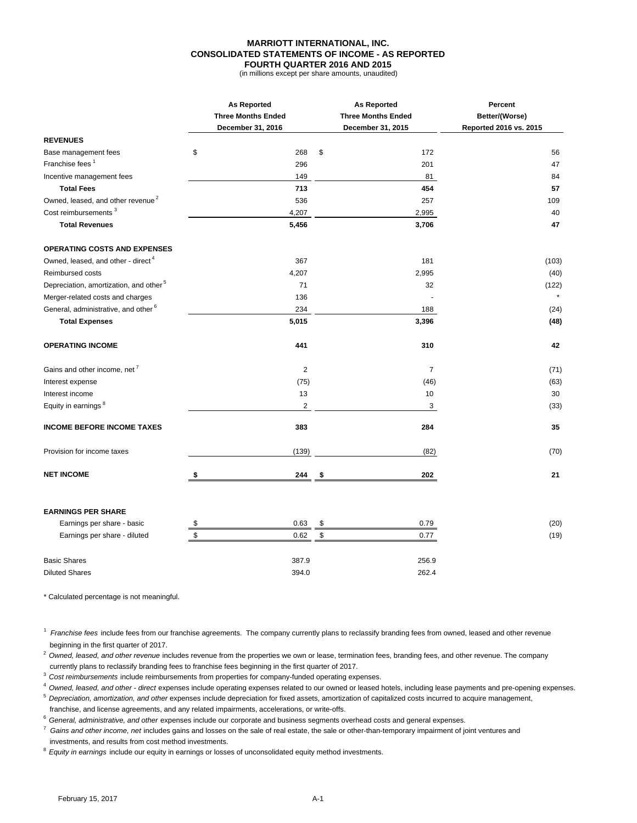### **MARRIOTT INTERNATIONAL, INC. CONSOLIDATED STATEMENTS OF INCOME - AS REPORTED FOURTH QUARTER 2016 AND 2015**

(in millions except per share amounts, unaudited)

|                                                    |    | <b>As Reported</b>        |     | <b>As Reported</b>        | Percent                |  |
|----------------------------------------------------|----|---------------------------|-----|---------------------------|------------------------|--|
|                                                    |    | <b>Three Months Ended</b> |     | <b>Three Months Ended</b> | Better/(Worse)         |  |
|                                                    |    | December 31, 2016         |     | December 31, 2015         | Reported 2016 vs. 2015 |  |
| <b>REVENUES</b>                                    |    |                           |     |                           |                        |  |
| Base management fees                               | \$ | 268                       | \$  | 172                       | 56                     |  |
| Franchise fees <sup>1</sup>                        |    | 296                       |     | 201                       | 47                     |  |
| Incentive management fees                          |    | 149                       |     | 81                        | 84                     |  |
| <b>Total Fees</b>                                  |    | 713                       |     | 454                       | 57                     |  |
| Owned, leased, and other revenue <sup>2</sup>      |    | 536                       |     | 257                       | 109                    |  |
| Cost reimbursements <sup>3</sup>                   |    | 4,207                     |     | 2,995                     | 40                     |  |
| <b>Total Revenues</b>                              |    | 5,456                     |     | 3,706                     | 47                     |  |
| <b>OPERATING COSTS AND EXPENSES</b>                |    |                           |     |                           |                        |  |
| Owned, leased, and other - direct <sup>4</sup>     |    | 367                       |     | 181                       | (103)                  |  |
| Reimbursed costs                                   |    | 4,207                     |     | 2,995                     | (40)                   |  |
| Depreciation, amortization, and other <sup>5</sup> |    | 71                        |     | 32                        | (122)                  |  |
| Merger-related costs and charges                   |    | 136                       |     |                           |                        |  |
| General, administrative, and other <sup>6</sup>    |    | 234                       |     | 188                       | (24)                   |  |
| <b>Total Expenses</b>                              |    | 5,015                     |     | 3,396                     | (48)                   |  |
| <b>OPERATING INCOME</b>                            |    | 441                       |     | 310                       | 42                     |  |
| Gains and other income, net <sup>7</sup>           |    | $\overline{2}$            |     | $\overline{7}$            | (71)                   |  |
| Interest expense                                   |    | (75)                      |     | (46)                      | (63)                   |  |
| Interest income                                    |    | 13                        |     | 10                        | 30                     |  |
| Equity in earnings <sup>8</sup>                    |    | $\overline{2}$            |     | 3                         | (33)                   |  |
| <b>INCOME BEFORE INCOME TAXES</b>                  |    | 383                       |     | 284                       | 35                     |  |
| Provision for income taxes                         |    | (139)                     |     | (82)                      | (70)                   |  |
| <b>NET INCOME</b>                                  | \$ | 244                       | -\$ | 202                       | 21                     |  |
|                                                    |    |                           |     |                           |                        |  |
| <b>EARNINGS PER SHARE</b>                          |    |                           |     |                           |                        |  |
| Earnings per share - basic                         | \$ | 0.63                      | \$  | 0.79                      | (20)                   |  |
| Earnings per share - diluted                       | \$ | 0.62                      | \$  | 0.77                      | (19)                   |  |
| <b>Basic Shares</b>                                |    | 387.9                     |     | 256.9                     |                        |  |

Diluted Shares 394.0 262.4

\* Calculated percentage is not meaningful.

<sup>1</sup> Franchise fees include fees from our franchise agreements. The company currently plans to reclassify branding fees from owned, leased and other revenue beginning in the first quarter of 2017.

<sup>2</sup> Owned, leased, and other revenue includes revenue from the properties we own or lease, termination fees, branding fees, and other revenue. The company currently plans to reclassify branding fees to franchise fees beginning in the first quarter of 2017.

<sup>3</sup>*Cost reimbursements* include reimbursements from properties for company-funded operating expenses.

<sup>4</sup>*Owned, leased, and other - direct* expenses include operating expenses related to our owned or leased hotels, including lease payments and pre-opening expenses.

<sup>5</sup>*Depreciation, amortization, and other* expenses include depreciation for fixed assets, amortization of capitalized costs incurred to acquire management, franchise, and license agreements, and any related impairments, accelerations, or write-offs.

<sup>6</sup>*General, administrative, and other* expenses include our corporate and business segments overhead costs and general expenses.

7 *Gains and other income, net* includes gains and losses on the sale of real estate, the sale or other-than-temporary impairment of joint ventures and investments, and results from cost method investments.

<sup>8</sup>*Equity in earnings* include our equity in earnings or losses of unconsolidated equity method investments.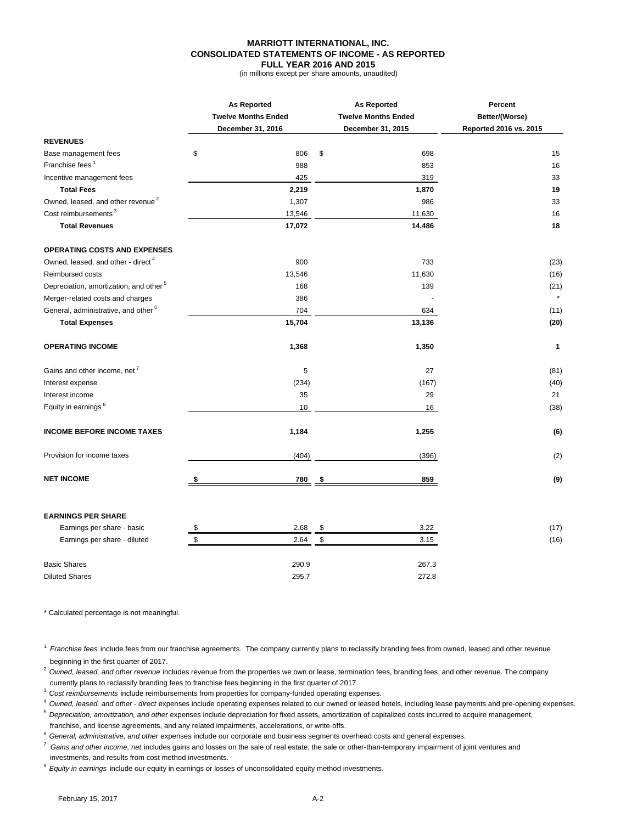### **MARRIOTT INTERNATIONAL, INC. CONSOLIDATED STATEMENTS OF INCOME - AS REPORTED FULL YEAR 2016 AND 2015**

(in millions except per share amounts, unaudited)

|                                                    | <b>As Reported</b>         | <b>As Reported</b>         | Percent                |  |  |
|----------------------------------------------------|----------------------------|----------------------------|------------------------|--|--|
|                                                    | <b>Twelve Months Ended</b> | <b>Twelve Months Ended</b> | Better/(Worse)         |  |  |
|                                                    | December 31, 2016          | December 31, 2015          | Reported 2016 vs. 2015 |  |  |
| <b>REVENUES</b>                                    |                            |                            |                        |  |  |
| Base management fees                               | \$                         | 806<br>\$<br>698           | 15                     |  |  |
| Franchise fees <sup>1</sup>                        |                            | 853<br>988                 | 16                     |  |  |
| Incentive management fees                          |                            | 425<br>319                 | 33                     |  |  |
| <b>Total Fees</b>                                  | 2,219                      | 1,870                      | 19                     |  |  |
| Owned, leased, and other revenue <sup>2</sup>      | 1,307                      | 986                        | 33                     |  |  |
| Cost reimbursements <sup>3</sup>                   | 13,546                     | 11,630                     | 16                     |  |  |
| <b>Total Revenues</b>                              | 17,072                     | 14,486                     | 18                     |  |  |
| <b>OPERATING COSTS AND EXPENSES</b>                |                            |                            |                        |  |  |
| Owned, leased, and other - direct <sup>4</sup>     |                            | 733<br>900                 | (23)                   |  |  |
| Reimbursed costs                                   | 13,546                     | 11,630                     | (16)                   |  |  |
| Depreciation, amortization, and other <sup>5</sup> |                            | 168<br>139                 | (21)                   |  |  |
| Merger-related costs and charges                   |                            | 386                        |                        |  |  |
| General, administrative, and other <sup>6</sup>    |                            | 704<br>634                 | (11)                   |  |  |
| <b>Total Expenses</b>                              | 15,704                     | 13,136                     | (20)                   |  |  |
| <b>OPERATING INCOME</b>                            | 1,368                      | 1,350                      | 1                      |  |  |
| Gains and other income, net <sup>7</sup>           |                            | 5<br>27                    | (81)                   |  |  |
| Interest expense                                   |                            | (234)<br>(167)             | (40)                   |  |  |
| Interest income                                    |                            | 35<br>29                   | 21                     |  |  |
| Equity in earnings <sup>8</sup>                    |                            | 10<br>16                   | (38)                   |  |  |
| <b>INCOME BEFORE INCOME TAXES</b>                  | 1,184                      | 1,255                      | (6)                    |  |  |
| Provision for income taxes                         |                            | (404)<br>(396)             | (2)                    |  |  |
| <b>NET INCOME</b>                                  | \$                         | 859<br>780<br>\$           | (9)                    |  |  |
| <b>EARNINGS PER SHARE</b>                          |                            |                            |                        |  |  |
| Earnings per share - basic                         | \$<br>2.68                 | \$<br>3.22                 | (17)                   |  |  |
| Earnings per share - diluted                       | \$<br>2.64                 | \$<br>3.15                 | (16)                   |  |  |
| <b>Basic Shares</b>                                | 290.9                      | 267.3                      |                        |  |  |
| <b>Diluted Shares</b>                              | 295.7                      | 272.8                      |                        |  |  |
|                                                    |                            |                            |                        |  |  |

\* Calculated percentage is not meaningful.

<sup>1</sup>*Franchise fees* include fees from our franchise agreements. The company currently plans to reclassify branding fees from owned, leased and other revenue beginning in the first quarter of 2017.

<sup>2</sup> Owned, leased, and other revenue includes revenue from the properties we own or lease, termination fees, branding fees, and other revenue. The company currently plans to reclassify branding fees to franchise fees beginning in the first quarter of 2017.

<sup>3</sup>*Cost reimbursements* include reimbursements from properties for company-funded operating expenses.

<sup>4</sup>*Owned, leased, and other - direct* expenses include operating expenses related to our owned or leased hotels, including lease payments and pre-opening expenses.

<sup>5</sup>*Depreciation, amortization, and other* expenses include depreciation for fixed assets, amortization of capitalized costs incurred to acquire management,

franchise, and license agreements, and any related impairments, accelerations, or write-offs.

<sup>6</sup>*General, administrative, and other* expenses include our corporate and business segments overhead costs and general expenses.

7 *Gains and other income, net* includes gains and losses on the sale of real estate, the sale or other-than-temporary impairment of joint ventures and investments, and results from cost method investments.

<sup>8</sup>*Equity in earnings* include our equity in earnings or losses of unconsolidated equity method investments.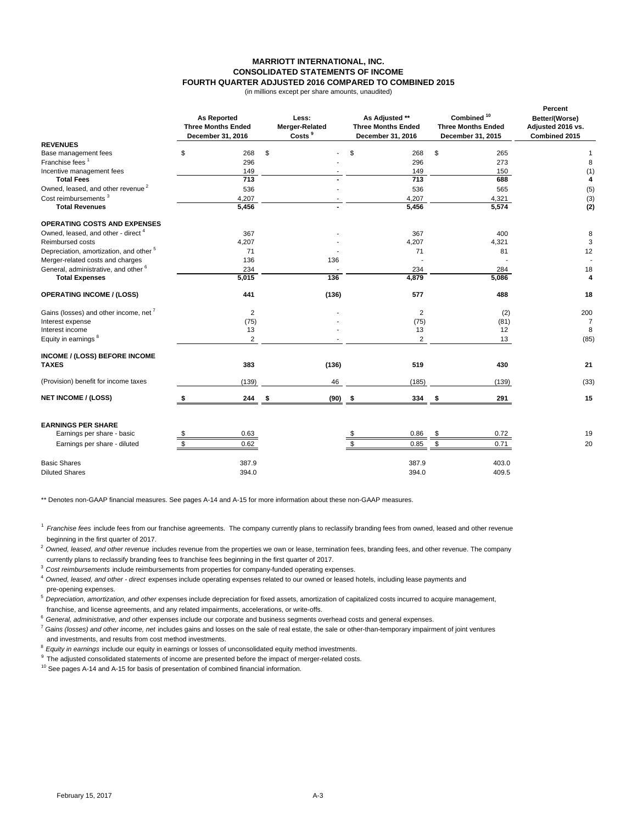### **MARRIOTT INTERNATIONAL, INC. CONSOLIDATED STATEMENTS OF INCOME FOURTH QUARTER ADJUSTED 2016 COMPARED TO COMBINED 2015**

(in millions except per share amounts, unaudited)

|                                                         | <b>As Reported</b><br><b>Three Months Ended</b><br>December 31, 2016 | Less:<br><b>Merger-Related</b><br>Costs <sup>9</sup> | As Adjusted **<br><b>Three Months Ended</b><br>December 31, 2016 | Combined <sup>10</sup><br><b>Three Months Ended</b><br>December 31, 2015 | Percent<br>Better/(Worse)<br>Adjusted 2016 vs.<br>Combined 2015 |
|---------------------------------------------------------|----------------------------------------------------------------------|------------------------------------------------------|------------------------------------------------------------------|--------------------------------------------------------------------------|-----------------------------------------------------------------|
| <b>REVENUES</b>                                         |                                                                      |                                                      |                                                                  |                                                                          |                                                                 |
| Base management fees<br>Franchise fees <sup>1</sup>     | \$<br>268<br>296                                                     | \$                                                   | \$<br>268<br>296                                                 | \$<br>265<br>273                                                         | 1                                                               |
| Incentive management fees                               | 149                                                                  |                                                      | 149                                                              | 150                                                                      | 8<br>(1)                                                        |
| <b>Total Fees</b>                                       | $\overline{713}$                                                     |                                                      | $\overline{713}$                                                 | 688                                                                      | 4                                                               |
| Owned, leased, and other revenue <sup>2</sup>           | 536                                                                  |                                                      | 536                                                              | 565                                                                      | (5)                                                             |
| Cost reimbursements <sup>3</sup>                        | 4,207                                                                |                                                      | 4,207                                                            | 4,321                                                                    | (3)                                                             |
| <b>Total Revenues</b>                                   | 5,456                                                                |                                                      | 5,456                                                            | 5,574                                                                    | (2)                                                             |
| <b>OPERATING COSTS AND EXPENSES</b>                     |                                                                      |                                                      |                                                                  |                                                                          |                                                                 |
| Owned, leased, and other - direct <sup>4</sup>          | 367                                                                  |                                                      | 367                                                              | 400                                                                      | 8                                                               |
| Reimbursed costs                                        | 4,207                                                                |                                                      | 4,207                                                            | 4,321                                                                    | 3                                                               |
| Depreciation, amortization, and other <sup>5</sup>      | 71                                                                   |                                                      | 71                                                               | 81                                                                       | 12                                                              |
| Merger-related costs and charges                        | 136                                                                  | 136                                                  |                                                                  |                                                                          |                                                                 |
| General, administrative, and other <sup>6</sup>         | 234                                                                  |                                                      | 234                                                              | 284                                                                      | 18                                                              |
| <b>Total Expenses</b>                                   | 5,015                                                                | 136                                                  | 4,879                                                            | 5.086                                                                    | 4                                                               |
| <b>OPERATING INCOME / (LOSS)</b>                        | 441                                                                  | (136)                                                | 577                                                              | 488                                                                      | 18                                                              |
| Gains (losses) and other income, net <sup>7</sup>       | $\overline{2}$                                                       |                                                      | $\overline{2}$                                                   | (2)                                                                      | 200                                                             |
| Interest expense                                        | (75)                                                                 |                                                      | (75)                                                             | (81)                                                                     | 7                                                               |
| Interest income                                         | 13                                                                   |                                                      | 13                                                               | 12                                                                       | 8                                                               |
| Equity in earnings <sup>8</sup>                         | 2                                                                    |                                                      | $\overline{2}$                                                   | 13                                                                       | (85)                                                            |
| INCOME / (LOSS) BEFORE INCOME<br><b>TAXES</b>           | 383                                                                  | (136)                                                | 519                                                              | 430                                                                      | 21                                                              |
| (Provision) benefit for income taxes                    | (139)                                                                | 46                                                   | (185)                                                            | (139)                                                                    | (33)                                                            |
| <b>NET INCOME / (LOSS)</b>                              | 244                                                                  | (90)<br>-\$                                          | 334<br>- \$                                                      | 291<br>\$                                                                | 15                                                              |
| <b>EARNINGS PER SHARE</b><br>Earnings per share - basic | 0.63                                                                 |                                                      | 0.86<br>\$                                                       | 0.72<br>\$                                                               | 19                                                              |
| Earnings per share - diluted                            | \$<br>0.62                                                           |                                                      | \$<br>0.85                                                       | \$<br>0.71                                                               | 20                                                              |
| <b>Basic Shares</b>                                     | 387.9                                                                |                                                      | 387.9                                                            | 403.0                                                                    |                                                                 |
| <b>Diluted Shares</b>                                   | 394.0                                                                |                                                      | 394.0                                                            | 409.5                                                                    |                                                                 |

\*\* Denotes non-GAAP financial measures. See pages A-14 and A-15 for more information about these non-GAAP measures.

<sup>1</sup>*Franchise fees* include fees from our franchise agreements. The company currently plans to reclassify branding fees from owned, leased and other revenue beginning in the first quarter of 2017.

<sup>2</sup>*Owned, leased, and other revenue* includes revenue from the properties we own or lease, termination fees, branding fees, and other revenue. The company currently plans to reclassify branding fees to franchise fees beginning in the first quarter of 2017.

<sup>3</sup>*Cost reimbursements* include reimbursements from properties for company-funded operating expenses.

<sup>4</sup>*Owned, leased, and other - direct* expenses include operating expenses related to our owned or leased hotels, including lease payments and pre-opening expenses.

<sup>5</sup>*Depreciation, amortization, and other* expenses include depreciation for fixed assets, amortization of capitalized costs incurred to acquire management, franchise, and license agreements, and any related impairments, accelerations, or write-offs.

<sup>6</sup>*General, administrative, and other* expenses include our corporate and business segments overhead costs and general expenses.

<sup>7</sup> *Gains (losses) and other income, net* includes gains and losses on the sale of real estate, the sale or other-than-temporary impairment of joint ventures and investments, and results from cost method investments.

<sup>8</sup>*Equity in earnings* include our equity in earnings or losses of unconsolidated equity method investments.

<sup>9</sup> The adjusted consolidated statements of income are presented before the impact of merger-related costs.

<sup>10</sup> See pages A-14 and A-15 for basis of presentation of combined financial information.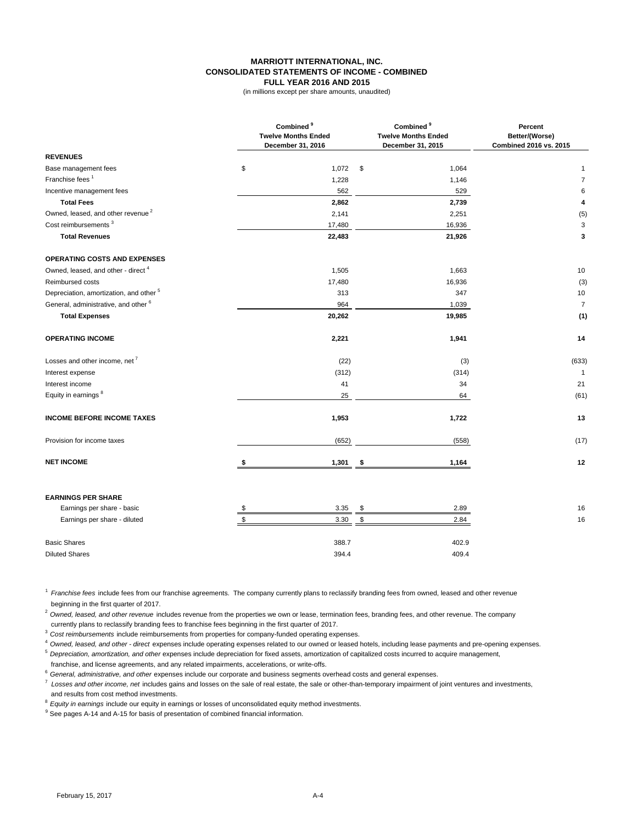#### **MARRIOTT INTERNATIONAL, INC. CONSOLIDATED STATEMENTS OF INCOME - COMBINED FULL YEAR 2016 AND 2015**

(in millions except per share amounts, unaudited)

|                                                    | Combined <sup>9</sup><br><b>Twelve Months Ended</b><br>December 31, 2016 | Combined <sup>9</sup><br><b>Twelve Months Ended</b><br>December 31, 2015 | Percent<br>Better/(Worse)<br>Combined 2016 vs. 2015 |  |
|----------------------------------------------------|--------------------------------------------------------------------------|--------------------------------------------------------------------------|-----------------------------------------------------|--|
| <b>REVENUES</b>                                    |                                                                          |                                                                          |                                                     |  |
| Base management fees                               | \$<br>1,072                                                              | \$<br>1,064                                                              | $\mathbf{1}$                                        |  |
| Franchise fees <sup>1</sup>                        | 1,228                                                                    | 1,146                                                                    | $\overline{7}$                                      |  |
| Incentive management fees                          | 562                                                                      | 529                                                                      | 6                                                   |  |
| <b>Total Fees</b>                                  | 2,862                                                                    | 2,739                                                                    | 4                                                   |  |
| Owned, leased, and other revenue <sup>2</sup>      | 2,141                                                                    | 2,251                                                                    | (5)                                                 |  |
| Cost reimbursements <sup>3</sup>                   | 17,480                                                                   | 16,936                                                                   | 3                                                   |  |
| <b>Total Revenues</b>                              | 22,483                                                                   | 21,926                                                                   | 3                                                   |  |
| OPERATING COSTS AND EXPENSES                       |                                                                          |                                                                          |                                                     |  |
| Owned, leased, and other - direct <sup>4</sup>     | 1,505                                                                    | 1,663                                                                    | 10                                                  |  |
| Reimbursed costs                                   | 17,480                                                                   | 16,936                                                                   | (3)                                                 |  |
| Depreciation, amortization, and other <sup>5</sup> | 313                                                                      | 347                                                                      | 10                                                  |  |
| General, administrative, and other <sup>6</sup>    | 964                                                                      | 1,039                                                                    | $\overline{7}$                                      |  |
| <b>Total Expenses</b>                              | 20,262                                                                   | 19,985                                                                   | (1)                                                 |  |
| <b>OPERATING INCOME</b>                            | 2,221                                                                    | 1,941                                                                    | 14                                                  |  |
| Losses and other income, net <sup>7</sup>          | (22)                                                                     | (3)                                                                      | (633)                                               |  |
| Interest expense                                   | (312)                                                                    | (314)                                                                    | $\mathbf{1}$                                        |  |
| Interest income                                    | 41                                                                       | 34                                                                       | 21                                                  |  |
| Equity in earnings <sup>8</sup>                    | 25                                                                       | 64                                                                       | (61)                                                |  |
| <b>INCOME BEFORE INCOME TAXES</b>                  | 1,953                                                                    | 1,722                                                                    | 13                                                  |  |
| Provision for income taxes                         | (652)                                                                    | (558)                                                                    | (17)                                                |  |
| <b>NET INCOME</b>                                  | \$<br>1,301                                                              | \$<br>1,164                                                              | 12                                                  |  |
| <b>EARNINGS PER SHARE</b>                          |                                                                          |                                                                          |                                                     |  |
| Earnings per share - basic                         | 3.35                                                                     | \$<br>2.89                                                               | 16                                                  |  |
| Earnings per share - diluted                       | 3.30                                                                     | \$<br>2.84                                                               | 16                                                  |  |
|                                                    |                                                                          |                                                                          |                                                     |  |
| <b>Basic Shares</b>                                | 388.7                                                                    | 402.9                                                                    |                                                     |  |
| <b>Diluted Shares</b>                              | 394.4                                                                    | 409.4                                                                    |                                                     |  |

<sup>1</sup>*Franchise fees* include fees from our franchise agreements. The company currently plans to reclassify branding fees from owned, leased and other revenue beginning in the first quarter of 2017.

<sup>2</sup> Owned, leased, and other revenue includes revenue from the properties we own or lease, termination fees, branding fees, and other revenue. The company currently plans to reclassify branding fees to franchise fees beginning in the first quarter of 2017.

<sup>3</sup>*Cost reimbursements* include reimbursements from properties for company-funded operating expenses.

<sup>4</sup>*Owned, leased, and other - direct* expenses include operating expenses related to our owned or leased hotels, including lease payments and pre-opening expenses.

<sup>5</sup>*Depreciation, amortization, and other* expenses include depreciation for fixed assets, amortization of capitalized costs incurred to acquire management, franchise, and license agreements, and any related impairments, accelerations, or write-offs.

<sup>6</sup>*General, administrative, and other* expenses include our corporate and business segments overhead costs and general expenses.

7 *Losses and other income, net* includes gains and losses on the sale of real estate, the sale or other-than-temporary impairment of joint ventures and investments, and results from cost method investments.

<sup>8</sup>*Equity in earnings* include our equity in earnings or losses of unconsolidated equity method investments.

<sup>9</sup> See pages A-14 and A-15 for basis of presentation of combined financial information.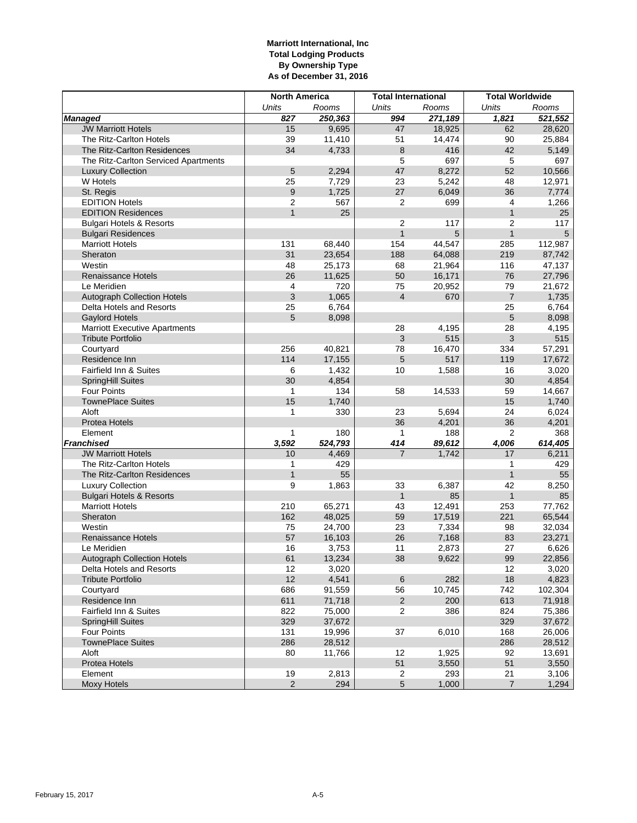## **Marriott International, Inc Total Lodging Products By Ownership Type As of December 31, 2016**

|                                      | <b>North America</b> |              | <b>Total International</b> |         | <b>Total Worldwide</b> |                |  |
|--------------------------------------|----------------------|--------------|----------------------------|---------|------------------------|----------------|--|
|                                      | <b>Units</b>         | Rooms        | Units                      | Rooms   | Units                  | Rooms          |  |
| <b>Managed</b>                       | 827                  | 250,363      | 994                        | 271,189 | 1,821                  | 521,552        |  |
| <b>JW Marriott Hotels</b>            | 15                   | 9,695        | 47                         | 18,925  | 62                     | 28,620         |  |
| The Ritz-Carlton Hotels              | 39                   | 11,410       | 51                         | 14,474  | 90                     | 25,884         |  |
| The Ritz-Carlton Residences          | 34                   | 4,733        | 8                          | 416     | 42                     | 5,149          |  |
| The Ritz-Carlton Serviced Apartments |                      |              | 5                          | 697     | 5                      | 697            |  |
| <b>Luxury Collection</b>             | 5                    | 2,294        | 47                         | 8,272   | 52                     | 10,566         |  |
| W Hotels                             | 25                   | 7,729        | 23                         | 5,242   | 48                     | 12,971         |  |
| St. Regis                            | $\boldsymbol{9}$     | 1,725        | 27                         | 6,049   | 36                     | 7,774          |  |
| <b>EDITION Hotels</b>                | $\overline{2}$       | 567          | 2                          | 699     | 4                      | 1,266          |  |
| <b>EDITION Residences</b>            | $\mathbf{1}$         | 25           |                            |         | $\mathbf{1}$           | 25             |  |
| <b>Bulgari Hotels &amp; Resorts</b>  |                      |              | $\overline{2}$             | 117     | $\overline{2}$         | 117            |  |
| <b>Bulgari Residences</b>            |                      |              | $\mathbf{1}$               | 5       | $\mathbf{1}$           | 5              |  |
| <b>Marriott Hotels</b>               | 131                  | 68,440       | 154                        | 44,547  | 285                    | 112,987        |  |
| Sheraton                             | 31                   | 23,654       | 188                        | 64,088  | 219                    | 87,742         |  |
| Westin                               | 48                   | 25,173       | 68                         | 21,964  | 116                    | 47,137         |  |
| <b>Renaissance Hotels</b>            | 26                   | 11,625       | 50                         | 16,171  | 76                     | 27,796         |  |
| Le Meridien                          | 4                    | 720          | 75                         | 20,952  | 79                     | 21,672         |  |
| Autograph Collection Hotels          | 3                    | 1,065        | $\overline{4}$             | 670     | $\overline{7}$         | 1,735          |  |
| Delta Hotels and Resorts             | 25                   | 6,764        |                            |         | 25                     | 6,764          |  |
| <b>Gaylord Hotels</b>                | 5                    | 8,098        |                            |         | 5                      | 8,098          |  |
| <b>Marriott Executive Apartments</b> |                      |              | 28                         | 4,195   | 28                     | 4,195          |  |
| <b>Tribute Portfolio</b>             |                      |              | $\mathbf{3}$               | 515     | $\mathfrak{3}$         | 515            |  |
| Courtyard                            | 256                  | 40,821       | 78                         | 16,470  | 334                    | 57,291         |  |
| Residence Inn                        | 114                  | 17,155       | 5                          | 517     | 119                    | 17,672         |  |
| Fairfield Inn & Suites               | 6                    | 1,432        | 10                         | 1,588   | 16                     | 3,020          |  |
| SpringHill Suites<br>Four Points     | 30<br>$\mathbf{1}$   | 4,854        |                            |         | 30                     | 4,854          |  |
| <b>TownePlace Suites</b>             | 15                   | 134          | 58                         | 14,533  | 59<br>15               | 14,667         |  |
| Aloft                                | 1                    | 1,740<br>330 | 23                         | 5,694   | 24                     | 1,740<br>6,024 |  |
| <b>Protea Hotels</b>                 |                      |              | 36                         | 4,201   | 36                     | 4,201          |  |
| Element                              | 1                    | 180          | $\mathbf{1}$               | 188     | $\overline{2}$         | 368            |  |
| <b>Franchised</b>                    | 3,592                | 524,793      | 414                        | 89,612  | 4,006                  | 614,405        |  |
| <b>JW Marriott Hotels</b>            | 10                   | 4,469        | $\overline{7}$             | 1,742   | 17                     | 6,211          |  |
| The Ritz-Carlton Hotels              | 1                    | 429          |                            |         | 1                      | 429            |  |
| The Ritz-Carlton Residences          | $\mathbf{1}$         | 55           |                            |         | $\mathbf{1}$           | 55             |  |
| <b>Luxury Collection</b>             | 9                    | 1,863        | 33                         | 6,387   | 42                     | 8,250          |  |
| <b>Bulgari Hotels &amp; Resorts</b>  |                      |              | $\mathbf{1}$               | 85      | $\mathbf{1}$           | 85             |  |
| <b>Marriott Hotels</b>               | 210                  | 65,271       | 43                         | 12,491  | 253                    | 77,762         |  |
| Sheraton                             | 162                  | 48,025       | 59                         | 17,519  | 221                    | 65,544         |  |
| Westin                               | 75                   | 24,700       | 23                         | 7,334   | 98                     | 32,034         |  |
| <b>Renaissance Hotels</b>            | 57                   | 16,103       | 26                         | 7,168   | 83                     | 23,271         |  |
| Le Meridien                          | 16                   | 3,753        | 11                         | 2,873   | 27                     | 6,626          |  |
| Autograph Collection Hotels          | 61                   | 13,234       | 38                         | 9,622   | 99                     | 22,856         |  |
| Delta Hotels and Resorts             | 12                   | 3,020        |                            |         | 12                     | 3,020          |  |
| <b>Tribute Portfolio</b>             | 12                   | 4,541        | 6                          | 282     | 18                     | 4,823          |  |
| Courtyard                            | 686                  | 91,559       | 56                         | 10,745  | 742                    | 102,304        |  |
| Residence Inn                        | 611                  | 71,718       | $\overline{2}$             | 200     | 613                    | 71,918         |  |
| Fairfield Inn & Suites               | 822                  | 75,000       | 2                          | 386     | 824                    | 75,386         |  |
| SpringHill Suites                    | 329                  | 37,672       |                            |         | 329                    | 37,672         |  |
| Four Points                          | 131                  | 19,996       | 37                         | 6,010   | 168                    | 26,006         |  |
| <b>TownePlace Suites</b>             | 286                  | 28,512       |                            |         | 286                    | 28,512         |  |
| Aloft                                | 80                   | 11,766       | 12                         | 1,925   | 92                     | 13,691         |  |
| Protea Hotels                        |                      |              | 51                         | 3,550   | 51                     | 3,550          |  |
| Element                              | 19                   | 2,813        | $\overline{c}$             | 293     | 21                     | 3,106          |  |
| <b>Moxy Hotels</b>                   | $\overline{2}$       | 294          | $\overline{5}$             | 1,000   | $\overline{7}$         | 1,294          |  |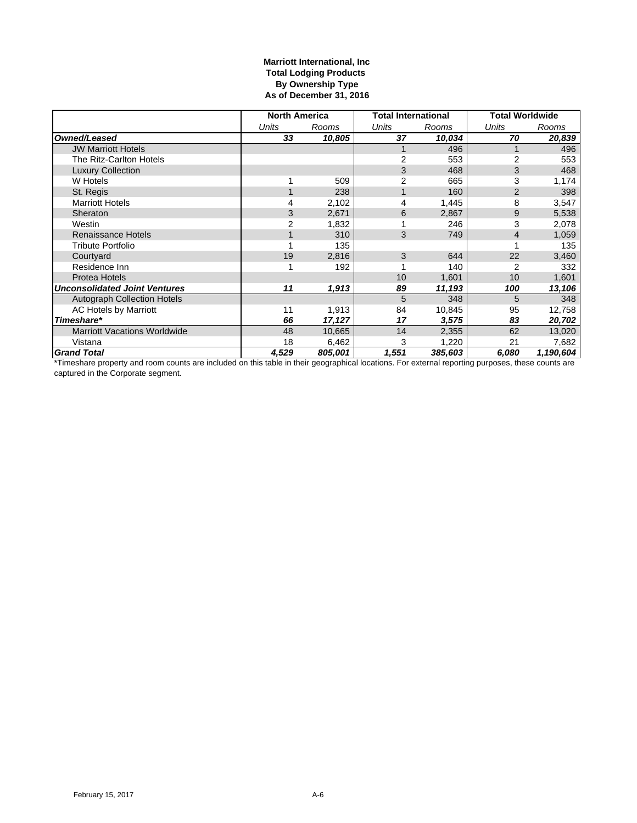## **Marriott International, Inc Total Lodging Products By Ownership Type As of December 31, 2016**

|                                      | <b>North America</b> |         |                | <b>Total International</b> | <b>Total Worldwide</b> |           |
|--------------------------------------|----------------------|---------|----------------|----------------------------|------------------------|-----------|
|                                      | Units                | Rooms   | Units          | Rooms                      | Units                  | Rooms     |
| Owned/Leased                         | 33                   | 10,805  | 37             | 10,034                     | 70                     | 20,839    |
| <b>JW Marriott Hotels</b>            |                      |         |                | 496                        |                        | 496       |
| The Ritz-Carlton Hotels              |                      |         | 2              | 553                        | 2                      | 553       |
| <b>Luxury Collection</b>             |                      |         | 3              | 468                        | 3                      | 468       |
| W Hotels                             |                      | 509     | $\overline{2}$ | 665                        | 3                      | 1,174     |
| St. Regis                            |                      | 238     | 1              | 160                        | $\overline{2}$         | 398       |
| <b>Marriott Hotels</b>               | 4                    | 2,102   | 4              | 1,445                      | 8                      | 3,547     |
| Sheraton                             | 3                    | 2,671   | 6              | 2,867                      | 9                      | 5,538     |
| Westin                               | $\overline{2}$       | 1,832   |                | 246                        | 3                      | 2,078     |
| <b>Renaissance Hotels</b>            | 1                    | 310     | 3              | 749                        | $\overline{4}$         | 1,059     |
| <b>Tribute Portfolio</b>             |                      | 135     |                |                            |                        | 135       |
| Courtyard                            | 19                   | 2,816   | 3              | 644                        | 22                     | 3,460     |
| Residence Inn                        |                      | 192     |                | 140                        | 2                      | 332       |
| Protea Hotels                        |                      |         | 10             | 1.601                      | 10                     | 1,601     |
| <b>Unconsolidated Joint Ventures</b> | 11                   | 1,913   | 89             | 11,193                     | 100                    | 13,106    |
| <b>Autograph Collection Hotels</b>   |                      |         | 5              | 348                        | 5                      | 348       |
| <b>AC Hotels by Marriott</b>         | 11                   | 1,913   | 84             | 10,845                     | 95                     | 12,758    |
| Timeshare*                           | 66                   | 17,127  | 17             | 3,575                      | 83                     | 20,702    |
| <b>Marriott Vacations Worldwide</b>  | 48                   | 10,665  | 14             | 2,355                      | 62                     | 13,020    |
| Vistana                              | 18                   | 6,462   | 3              | 1,220                      | 21                     | 7,682     |
| <b>Grand Total</b>                   | 4,529                | 805,001 | 1,551          | 385,603                    | 6,080                  | 1,190,604 |

\*Timeshare property and room counts are included on this table in their geographical locations. For external reporting purposes, these counts are captured in the Corporate segment.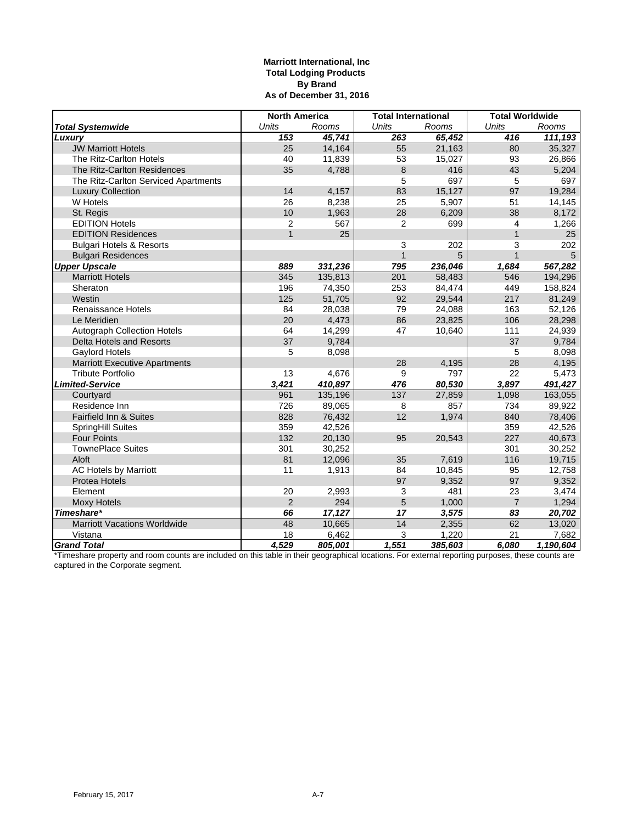## **Marriott International, Inc Total Lodging Products By Brand As of December 31, 2016**

|                                      | <b>North America</b> |                                                | <b>Total International</b> |         | <b>Total Worldwide</b> |           |
|--------------------------------------|----------------------|------------------------------------------------|----------------------------|---------|------------------------|-----------|
| <b>Total Systemwide</b>              | <b>Units</b>         | <b>Units</b><br><b>Units</b><br>Rooms<br>Rooms |                            | Rooms   |                        |           |
| Luxury                               | 153                  | 45,741                                         | 263                        | 65,452  | 416                    | 111,193   |
| <b>JW Marriott Hotels</b>            | $\overline{25}$      | 14,164                                         | 55                         | 21,163  | 80                     | 35,327    |
| The Ritz-Carlton Hotels              | 40                   | 11,839                                         | 53                         | 15,027  | 93                     | 26,866    |
| The Ritz-Carlton Residences          | 35                   | 4,788                                          | 8                          | 416     | 43                     | 5,204     |
| The Ritz-Carlton Serviced Apartments |                      |                                                | 5                          | 697     | 5                      | 697       |
| <b>Luxury Collection</b>             | 14                   | 4,157                                          | 83                         | 15,127  | 97                     | 19,284    |
| W Hotels                             | 26                   | 8,238                                          | 25                         | 5,907   | 51                     | 14,145    |
| St. Regis                            | 10                   | 1,963                                          | 28                         | 6,209   | 38                     | 8,172     |
| <b>EDITION Hotels</b>                | 2                    | 567                                            | 2                          | 699     | $\overline{4}$         | 1,266     |
| <b>EDITION Residences</b>            | $\overline{1}$       | 25                                             |                            |         | $\mathbf{1}$           | 25        |
| <b>Bulgari Hotels &amp; Resorts</b>  |                      |                                                | 3                          | 202     | 3                      | 202       |
| <b>Bulgari Residences</b>            |                      |                                                | $\mathbf{1}$               | 5       | $\mathbf{1}$           | 5         |
| <b>Upper Upscale</b>                 | 889                  | 331,236                                        | 795                        | 236,046 | 1,684                  | 567,282   |
| <b>Marriott Hotels</b>               | 345                  | 135,813                                        | 201                        | 58,483  | 546                    | 194,296   |
| Sheraton                             | 196                  | 74,350                                         | 253                        | 84,474  | 449                    | 158,824   |
| Westin                               | 125                  | 51,705                                         | 92                         | 29,544  | 217                    | 81,249    |
| <b>Renaissance Hotels</b>            | 84                   | 28,038                                         | 79                         | 24,088  | 163                    | 52,126    |
| Le Meridien                          | 20                   | 4,473                                          | 86                         | 23,825  | 106                    | 28,298    |
| <b>Autograph Collection Hotels</b>   | 64                   | 14,299                                         | 47                         | 10,640  | 111                    | 24,939    |
| Delta Hotels and Resorts             | 37                   | 9,784                                          |                            |         | 37                     | 9,784     |
| Gaylord Hotels                       | 5                    | 8,098                                          |                            |         | 5                      | 8,098     |
| <b>Marriott Executive Apartments</b> |                      |                                                | 28                         | 4,195   | 28                     | 4,195     |
| <b>Tribute Portfolio</b>             | 13                   | 4,676                                          | 9                          | 797     | 22                     | 5,473     |
| <b>Limited-Service</b>               | 3,421                | 410,897                                        | 476                        | 80,530  | 3,897                  | 491,427   |
| Courtyard                            | 961                  | 135,196                                        | 137                        | 27,859  | 1,098                  | 163,055   |
| Residence Inn                        | 726                  | 89,065                                         | 8                          | 857     | 734                    | 89,922    |
| Fairfield Inn & Suites               | 828                  | 76,432                                         | 12                         | 1,974   | 840                    | 78,406    |
| SpringHill Suites                    | 359                  | 42,526                                         |                            |         | 359                    | 42,526    |
| <b>Four Points</b>                   | 132                  | 20,130                                         | 95                         | 20,543  | 227                    | 40,673    |
| <b>TownePlace Suites</b>             | 301                  | 30,252                                         |                            |         | 301                    | 30,252    |
| Aloft                                | 81                   | 12,096                                         | 35                         | 7,619   | 116                    | 19,715    |
| <b>AC Hotels by Marriott</b>         | 11                   | 1,913                                          | 84                         | 10,845  | 95                     | 12,758    |
| <b>Protea Hotels</b>                 |                      |                                                | 97                         | 9,352   | 97                     | 9,352     |
| Element                              | 20                   | 2,993                                          | 3                          | 481     | 23                     | 3,474     |
| <b>Moxy Hotels</b>                   | $\overline{2}$       | 294                                            | 5                          | 1,000   | $\overline{7}$         | 1,294     |
| Timeshare*                           | 66                   | 17,127                                         | 17                         | 3,575   | 83                     | 20,702    |
| <b>Marriott Vacations Worldwide</b>  | 48                   | 10,665                                         | 14                         | 2,355   | 62                     | 13,020    |
| Vistana                              | 18                   | 6,462                                          | $\mathsf 3$                | 1,220   | 21                     | 7,682     |
| <b>Grand Total</b>                   | 4,529                | 805,001                                        | 1,551                      | 385,603 | 6,080                  | 1,190,604 |

\*Timeshare property and room counts are included on this table in their geographical locations. For external reporting purposes, these counts are captured in the Corporate segment.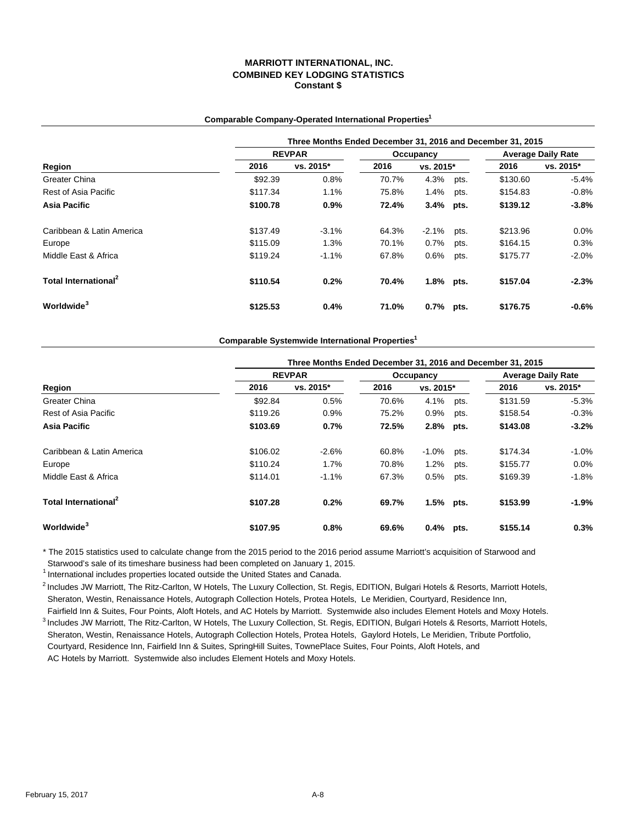### **Comparable Company-Operated International Properties1**

|                                  | Three Months Ended December 31, 2016 and December 31, 2015 |               |       |              |      |                           |           |  |  |
|----------------------------------|------------------------------------------------------------|---------------|-------|--------------|------|---------------------------|-----------|--|--|
|                                  |                                                            | <b>REVPAR</b> |       | Occupancy    |      | <b>Average Daily Rate</b> |           |  |  |
| Region                           | 2016                                                       | vs. 2015*     | 2016  | vs. 2015*    |      | 2016                      | vs. 2015* |  |  |
| Greater China                    | \$92.39                                                    | 0.8%          | 70.7% | 4.3%         | pts. | \$130.60                  | $-5.4%$   |  |  |
| Rest of Asia Pacific             | \$117.34                                                   | 1.1%          | 75.8% | 1.4%         | pts. | \$154.83                  | $-0.8%$   |  |  |
| Asia Pacific                     | \$100.78                                                   | 0.9%          | 72.4% | 3.4% pts.    |      | \$139.12                  | $-3.8%$   |  |  |
| Caribbean & Latin America        | \$137.49                                                   | $-3.1%$       | 64.3% | $-2.1%$      | pts. | \$213.96                  | $0.0\%$   |  |  |
| Europe                           | \$115.09                                                   | 1.3%          | 70.1% | 0.7%         | pts. | \$164.15                  | 0.3%      |  |  |
| Middle East & Africa             | \$119.24                                                   | $-1.1\%$      | 67.8% | 0.6%         | pts. | \$175.77                  | $-2.0\%$  |  |  |
| Total International <sup>2</sup> | \$110.54                                                   | 0.2%          | 70.4% | $1.8\%$ pts. |      | \$157.04                  | $-2.3%$   |  |  |
| Worldwide <sup>3</sup>           | \$125.53                                                   | 0.4%          | 71.0% | $0.7\%$      | pts. | \$176.75                  | $-0.6%$   |  |  |

**Comparable Systemwide International Properties1**

|                                  | Three Months Ended December 31, 2016 and December 31, 2015 |               |       |              |      |          |                           |  |
|----------------------------------|------------------------------------------------------------|---------------|-------|--------------|------|----------|---------------------------|--|
|                                  |                                                            | <b>REVPAR</b> |       | Occupancy    |      |          | <b>Average Daily Rate</b> |  |
| Region<br>Greater China          | 2016                                                       | vs. 2015*     | 2016  | vs. 2015*    |      | 2016     | vs. 2015*                 |  |
|                                  | \$92.84                                                    | 0.5%          | 70.6% | 4.1%         | pts. | \$131.59 | $-5.3%$                   |  |
| Rest of Asia Pacific             | \$119.26                                                   | 0.9%          | 75.2% | 0.9%         | pts. | \$158.54 | $-0.3%$                   |  |
| Asia Pacific                     | \$103.69                                                   | 0.7%          | 72.5% | 2.8% pts.    |      | \$143.08 | $-3.2%$                   |  |
| Caribbean & Latin America        | \$106.02                                                   | $-2.6%$       | 60.8% | $-1.0\%$     | pts. | \$174.34 | $-1.0%$                   |  |
| Europe                           | \$110.24                                                   | 1.7%          | 70.8% | 1.2%         | pts. | \$155.77 | 0.0%                      |  |
| Middle East & Africa             | \$114.01                                                   | $-1.1%$       | 67.3% | 0.5%         | pts. | \$169.39 | $-1.8%$                   |  |
| Total International <sup>2</sup> | \$107.28                                                   | 0.2%          | 69.7% | 1.5% pts.    |      | \$153.99 | $-1.9%$                   |  |
| Worldwide <sup>3</sup>           | \$107.95                                                   | 0.8%          | 69.6% | $0.4\%$ pts. |      | \$155.14 | 0.3%                      |  |

\* The 2015 statistics used to calculate change from the 2015 period to the 2016 period assume Marriott's acquisition of Starwood and Starwood's sale of its timeshare business had been completed on January 1, 2015.

 $1$  International includes properties located outside the United States and Canada.

<sup>2</sup> Includes JW Marriott, The Ritz-Carlton, W Hotels, The Luxury Collection, St. Regis, EDITION, Bulgari Hotels & Resorts, Marriott Hotels, Sheraton, Westin, Renaissance Hotels, Autograph Collection Hotels, Protea Hotels, Le Meridien, Courtyard, Residence Inn,

 Fairfield Inn & Suites, Four Points, Aloft Hotels, and AC Hotels by Marriott. Systemwide also includes Element Hotels and Moxy Hotels. <sup>3</sup> Includes JW Marriott, The Ritz-Carlton, W Hotels, The Luxury Collection, St. Regis, EDITION, Bulgari Hotels & Resorts, Marriott Hotels, Sheraton, Westin, Renaissance Hotels, Autograph Collection Hotels, Protea Hotels, Gaylord Hotels, Le Meridien, Tribute Portfolio, Courtyard, Residence Inn, Fairfield Inn & Suites, SpringHill Suites, TownePlace Suites, Four Points, Aloft Hotels, and AC Hotels by Marriott. Systemwide also includes Element Hotels and Moxy Hotels.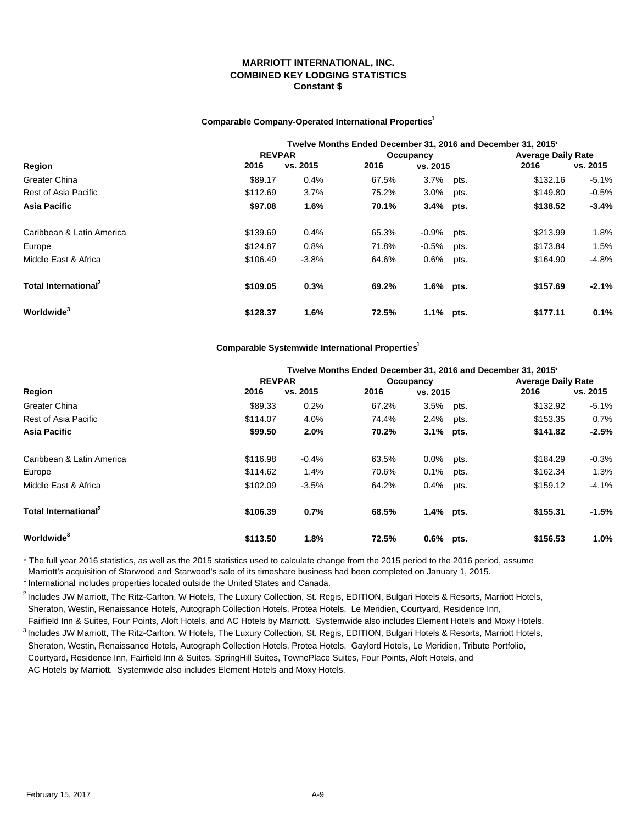### **Comparable Company-Operated International Properties1**

|                                  | Twelve Months Ended December 31, 2016 and December 31, 2015' |          |       |           |      |          |                           |  |  |  |
|----------------------------------|--------------------------------------------------------------|----------|-------|-----------|------|----------|---------------------------|--|--|--|
|                                  | <b>REVPAR</b>                                                |          |       | Occupancy |      |          | <b>Average Daily Rate</b> |  |  |  |
| Region                           | 2016                                                         | vs. 2015 | 2016  | vs. 2015  |      | 2016     | vs. 2015                  |  |  |  |
| Greater China                    | \$89.17                                                      | 0.4%     | 67.5% | $3.7\%$   | pts. | \$132.16 | $-5.1%$                   |  |  |  |
| Rest of Asia Pacific             | \$112.69                                                     | 3.7%     | 75.2% | 3.0%      | pts. | \$149.80 | $-0.5%$                   |  |  |  |
| Asia Pacific                     | \$97.08                                                      | 1.6%     | 70.1% | 3.4% pts. |      | \$138.52 | $-3.4%$                   |  |  |  |
| Caribbean & Latin America        | \$139.69                                                     | 0.4%     | 65.3% | -0.9%     | pts. | \$213.99 | $1.8\%$                   |  |  |  |
| Europe                           | \$124.87                                                     | 0.8%     | 71.8% | $-0.5\%$  | pts. | \$173.84 | 1.5%                      |  |  |  |
| Middle East & Africa             | \$106.49                                                     | $-3.8%$  | 64.6% | $0.6\%$   | pts. | \$164.90 | $-4.8%$                   |  |  |  |
| Total International <sup>2</sup> | \$109.05                                                     | 0.3%     | 69.2% | 1.6% pts. |      | \$157.69 | $-2.1%$                   |  |  |  |
| Worldwide <sup>3</sup>           | \$128.37                                                     | 1.6%     | 72.5% | 1.1% pts. |      | \$177.11 | 0.1%                      |  |  |  |

### **Comparable Systemwide International Properties1**

|                                  |               |          |           |           |      | Twelve Months Ended December 31, 2016 and December 31, 2015' |          |
|----------------------------------|---------------|----------|-----------|-----------|------|--------------------------------------------------------------|----------|
|                                  | <b>REVPAR</b> |          | Occupancy |           |      | <b>Average Daily Rate</b>                                    |          |
| Region                           | 2016          | vs. 2015 | 2016      | vs. 2015  |      | 2016                                                         | vs. 2015 |
| <b>Greater China</b>             | \$89.33       | 0.2%     | 67.2%     | 3.5%      | pts. | \$132.92                                                     | $-5.1%$  |
| Rest of Asia Pacific             | \$114.07      | 4.0%     | 74.4%     | 2.4%      | pts. | \$153.35                                                     | 0.7%     |
| Asia Pacific                     | \$99.50       | 2.0%     | 70.2%     | 3.1% pts. |      | \$141.82                                                     | $-2.5%$  |
| Caribbean & Latin America        | \$116.98      | $-0.4%$  | 63.5%     | $0.0\%$   | pts. | \$184.29                                                     | $-0.3%$  |
| Europe                           | \$114.62      | 1.4%     | 70.6%     | 0.1%      | pts. | \$162.34                                                     | 1.3%     |
| Middle East & Africa             | \$102.09      | $-3.5%$  | 64.2%     | 0.4%      | pts. | \$159.12                                                     | $-4.1%$  |
| Total International <sup>2</sup> | \$106.39      | 0.7%     | 68.5%     | 1.4% pts. |      | \$155.31                                                     | $-1.5%$  |
| Worldwide <sup>3</sup>           | \$113.50      | 1.8%     | 72.5%     | 0.6% pts. |      | \$156.53                                                     | 1.0%     |

\* The full year 2016 statistics, as well as the 2015 statistics used to calculate change from the 2015 period to the 2016 period, assume Marriott's acquisition of Starwood and Starwood's sale of its timeshare business had been completed on January 1, 2015.  $1$  International includes properties located outside the United States and Canada.

 $^2$  Includes JW Marriott, The Ritz-Carlton, W Hotels, The Luxury Collection, St. Regis, EDITION, Bulgari Hotels & Resorts, Marriott Hotels, Sheraton, Westin, Renaissance Hotels, Autograph Collection Hotels, Protea Hotels, Le Meridien, Courtyard, Residence Inn,

 Fairfield Inn & Suites, Four Points, Aloft Hotels, and AC Hotels by Marriott. Systemwide also includes Element Hotels and Moxy Hotels. <sup>3</sup> Includes JW Marriott, The Ritz-Carlton, W Hotels, The Luxury Collection, St. Regis, EDITION, Bulgari Hotels & Resorts, Marriott Hotels, Sheraton, Westin, Renaissance Hotels, Autograph Collection Hotels, Protea Hotels, Gaylord Hotels, Le Meridien, Tribute Portfolio, Courtyard, Residence Inn, Fairfield Inn & Suites, SpringHill Suites, TownePlace Suites, Four Points, Aloft Hotels, and

AC Hotels by Marriott. Systemwide also includes Element Hotels and Moxy Hotels.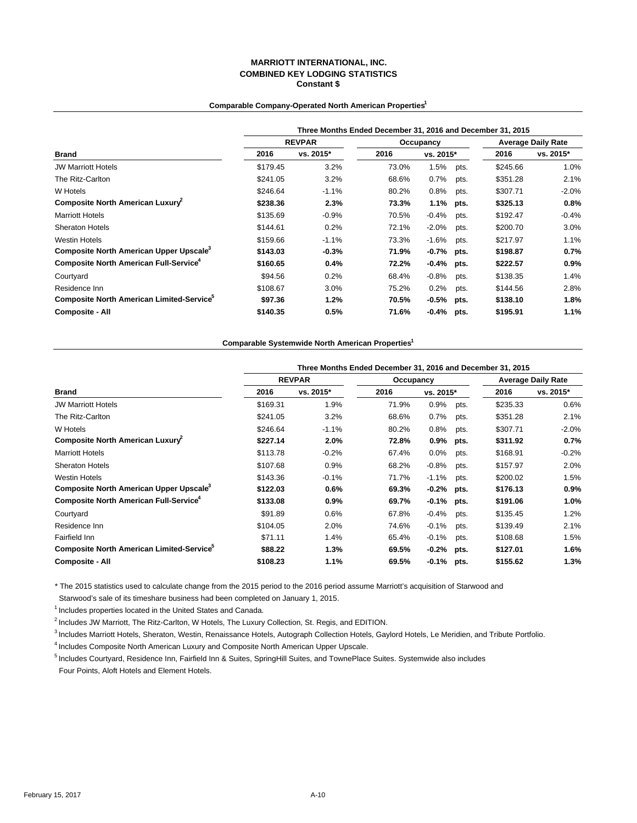### **Comparable Company-Operated North American Properties1**

|                                                           | Three Months Ended December 31, 2016 and December 31, 2015 |               |       |           |      |                           |           |  |  |  |  |
|-----------------------------------------------------------|------------------------------------------------------------|---------------|-------|-----------|------|---------------------------|-----------|--|--|--|--|
|                                                           |                                                            | <b>REVPAR</b> |       | Occupancy |      | <b>Average Daily Rate</b> |           |  |  |  |  |
| Brand                                                     | 2016                                                       | vs. 2015*     | 2016  | vs. 2015* |      | 2016                      | vs. 2015* |  |  |  |  |
| <b>JW Marriott Hotels</b>                                 | \$179.45                                                   | 3.2%          | 73.0% | 1.5%      | pts. | \$245.66                  | 1.0%      |  |  |  |  |
| The Ritz-Carlton                                          | \$241.05                                                   | 3.2%          | 68.6% | 0.7%      | pts. | \$351.28                  | 2.1%      |  |  |  |  |
| W Hotels                                                  | \$246.64                                                   | $-1.1%$       | 80.2% | 0.8%      | pts. | \$307.71                  | $-2.0%$   |  |  |  |  |
| Composite North American Luxury                           | \$238.36                                                   | 2.3%          | 73.3% | 1.1%      | pts. | \$325.13                  | 0.8%      |  |  |  |  |
| <b>Marriott Hotels</b>                                    | \$135.69                                                   | $-0.9%$       | 70.5% | $-0.4%$   | pts. | \$192.47                  | $-0.4%$   |  |  |  |  |
| <b>Sheraton Hotels</b>                                    | \$144.61                                                   | 0.2%          | 72.1% | $-2.0%$   | pts. | \$200.70                  | 3.0%      |  |  |  |  |
| <b>Westin Hotels</b>                                      | \$159.66                                                   | $-1.1%$       | 73.3% | $-1.6%$   | pts. | \$217.97                  | 1.1%      |  |  |  |  |
| Composite North American Upper Upscale <sup>3</sup>       | \$143.03                                                   | $-0.3%$       | 71.9% | $-0.7%$   | pts. | \$198.87                  | 0.7%      |  |  |  |  |
| <b>Composite North American Full-Service</b> <sup>4</sup> | \$160.65                                                   | 0.4%          | 72.2% | $-0.4%$   | pts. | \$222.57                  | 0.9%      |  |  |  |  |
| Courtyard                                                 | \$94.56                                                    | 0.2%          | 68.4% | $-0.8%$   | pts. | \$138.35                  | 1.4%      |  |  |  |  |
| Residence Inn                                             | \$108.67                                                   | 3.0%          | 75.2% | 0.2%      | pts. | \$144.56                  | 2.8%      |  |  |  |  |
| Composite North American Limited-Service <sup>9</sup>     | \$97.36                                                    | 1.2%          | 70.5% | $-0.5\%$  | pts. | \$138.10                  | 1.8%      |  |  |  |  |
| <b>Composite - All</b>                                    | \$140.35                                                   | 0.5%          | 71.6% | $-0.4\%$  | pts. | \$195.91                  | 1.1%      |  |  |  |  |

### **Comparable Systemwide North American Properties1**

|                                                           | Three Months Ended December 31, 2016 and December 31, 2015 |               |           |           |      |                           |           |  |  |  |
|-----------------------------------------------------------|------------------------------------------------------------|---------------|-----------|-----------|------|---------------------------|-----------|--|--|--|
|                                                           |                                                            | <b>REVPAR</b> | Occupancy |           |      | <b>Average Daily Rate</b> |           |  |  |  |
| <b>Brand</b>                                              | 2016                                                       | vs. 2015*     | 2016      | vs. 2015* |      | 2016                      | vs. 2015* |  |  |  |
| <b>JW Marriott Hotels</b>                                 | \$169.31                                                   | 1.9%          | 71.9%     | 0.9%      | pts. | \$235.33                  | 0.6%      |  |  |  |
| The Ritz-Carlton                                          | \$241.05                                                   | 3.2%          | 68.6%     | 0.7%      | pts. | \$351.28                  | 2.1%      |  |  |  |
| W Hotels                                                  | \$246.64                                                   | $-1.1%$       | 80.2%     | 0.8%      | pts. | \$307.71                  | $-2.0\%$  |  |  |  |
| Composite North American Luxury                           | \$227.14                                                   | 2.0%          | 72.8%     | 0.9%      | pts. | \$311.92                  | 0.7%      |  |  |  |
| <b>Marriott Hotels</b>                                    | \$113.78                                                   | $-0.2%$       | 67.4%     | 0.0%      | pts. | \$168.91                  | $-0.2%$   |  |  |  |
| <b>Sheraton Hotels</b>                                    | \$107.68                                                   | 0.9%          | 68.2%     | $-0.8%$   | pts. | \$157.97                  | 2.0%      |  |  |  |
| <b>Westin Hotels</b>                                      | \$143.36                                                   | $-0.1%$       | 71.7%     | $-1.1%$   | pts. | \$200.02                  | 1.5%      |  |  |  |
| Composite North American Upper Upscale <sup>3</sup>       | \$122.03                                                   | 0.6%          | 69.3%     | $-0.2%$   | pts. | \$176.13                  | $0.9\%$   |  |  |  |
| <b>Composite North American Full-Service</b> <sup>4</sup> | \$133.08                                                   | 0.9%          | 69.7%     | $-0.1%$   | pts. | \$191.06                  | $1.0\%$   |  |  |  |
| Courtyard                                                 | \$91.89                                                    | 0.6%          | 67.8%     | $-0.4%$   | pts. | \$135.45                  | 1.2%      |  |  |  |
| Residence Inn                                             | \$104.05                                                   | 2.0%          | 74.6%     | $-0.1%$   | pts. | \$139.49                  | 2.1%      |  |  |  |
| Fairfield Inn                                             | \$71.11                                                    | 1.4%          | 65.4%     | $-0.1%$   | pts. | \$108.68                  | 1.5%      |  |  |  |
| Composite North American Limited-Service <sup>9</sup>     | \$88.22                                                    | 1.3%          | 69.5%     | $-0.2%$   | pts. | \$127.01                  | $1.6\%$   |  |  |  |
| <b>Composite - All</b>                                    | \$108.23                                                   | 1.1%          | 69.5%     | $-0.1\%$  | pts. | \$155.62                  | 1.3%      |  |  |  |

\* The 2015 statistics used to calculate change from the 2015 period to the 2016 period assume Marriott's acquisition of Starwood and

Starwood's sale of its timeshare business had been completed on January 1, 2015.

1 Includes properties located in the United States and Canada.

<sup>2</sup> Includes JW Marriott, The Ritz-Carlton, W Hotels, The Luxury Collection, St. Regis, and EDITION.

<sup>3</sup> Includes Marriott Hotels, Sheraton, Westin, Renaissance Hotels, Autograph Collection Hotels, Gaylord Hotels, Le Meridien, and Tribute Portfolio.

4 Includes Composite North American Luxury and Composite North American Upper Upscale.

<sup>5</sup> Includes Courtyard, Residence Inn, Fairfield Inn & Suites, SpringHill Suites, and TownePlace Suites. Systemwide also includes Four Points, Aloft Hotels and Element Hotels.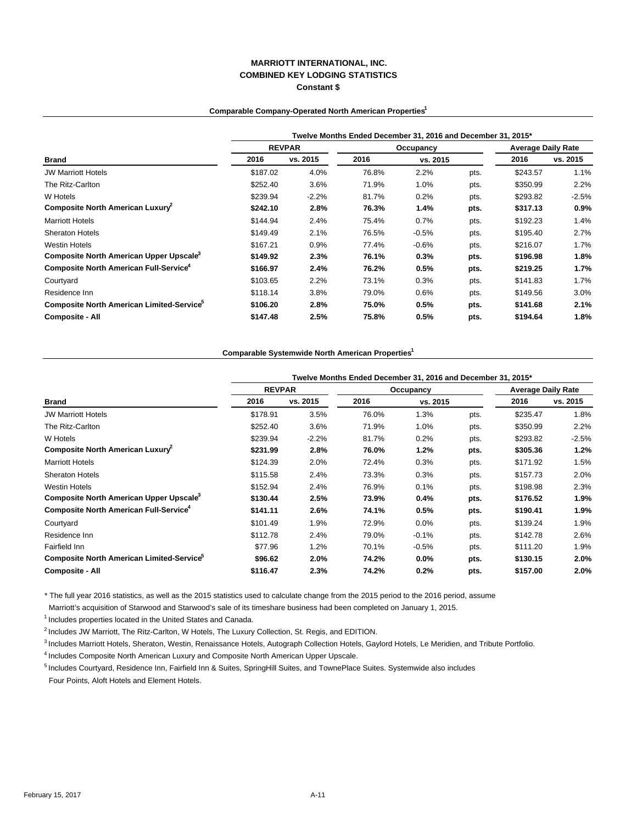### **Comparable Company-Operated North American Properties1**

|                                                       | Twelve Months Ended December 31, 2016 and December 31, 2015* |          |       |           |      |                           |          |  |  |  |  |
|-------------------------------------------------------|--------------------------------------------------------------|----------|-------|-----------|------|---------------------------|----------|--|--|--|--|
|                                                       | <b>REVPAR</b>                                                |          |       | Occupancy |      | <b>Average Daily Rate</b> |          |  |  |  |  |
| Brand                                                 | 2016                                                         | vs. 2015 | 2016  | vs. 2015  |      | 2016                      | vs. 2015 |  |  |  |  |
| <b>JW Marriott Hotels</b>                             | \$187.02                                                     | 4.0%     | 76.8% | 2.2%      | pts. | \$243.57                  | 1.1%     |  |  |  |  |
| The Ritz-Carlton                                      | \$252.40                                                     | 3.6%     | 71.9% | 1.0%      | pts. | \$350.99                  | 2.2%     |  |  |  |  |
| W Hotels                                              | \$239.94                                                     | $-2.2%$  | 81.7% | 0.2%      | pts. | \$293.82                  | $-2.5%$  |  |  |  |  |
| Composite North American Luxury <sup>2</sup>          | \$242.10                                                     | 2.8%     | 76.3% | 1.4%      | pts. | \$317.13                  | $0.9\%$  |  |  |  |  |
| <b>Marriott Hotels</b>                                | \$144.94                                                     | 2.4%     | 75.4% | 0.7%      | pts. | \$192.23                  | 1.4%     |  |  |  |  |
| <b>Sheraton Hotels</b>                                | \$149.49                                                     | 2.1%     | 76.5% | $-0.5%$   | pts. | \$195.40                  | $2.7\%$  |  |  |  |  |
| <b>Westin Hotels</b>                                  | \$167.21                                                     | 0.9%     | 77.4% | $-0.6%$   | pts. | \$216.07                  | 1.7%     |  |  |  |  |
| Composite North American Upper Upscale <sup>3</sup>   | \$149.92                                                     | 2.3%     | 76.1% | 0.3%      | pts. | \$196.98                  | 1.8%     |  |  |  |  |
| Composite North American Full-Service <sup>4</sup>    | \$166.97                                                     | 2.4%     | 76.2% | 0.5%      | pts. | \$219.25                  | 1.7%     |  |  |  |  |
| Courtyard                                             | \$103.65                                                     | 2.2%     | 73.1% | 0.3%      | pts. | \$141.83                  | 1.7%     |  |  |  |  |
| Residence Inn                                         | \$118.14                                                     | 3.8%     | 79.0% | 0.6%      | pts. | \$149.56                  | 3.0%     |  |  |  |  |
| Composite North American Limited-Service <sup>5</sup> | \$106.20                                                     | 2.8%     | 75.0% | 0.5%      | pts. | \$141.68                  | 2.1%     |  |  |  |  |
| <b>Composite - All</b>                                | \$147.48                                                     | 2.5%     | 75.8% | 0.5%      | pts. | \$194.64                  | 1.8%     |  |  |  |  |

#### **Comparable Systemwide North American Properties1**

|                                                       | Twelve Months Ended December 31, 2016 and December 31, 2015* |               |       |           |      |                           |          |  |  |  |  |
|-------------------------------------------------------|--------------------------------------------------------------|---------------|-------|-----------|------|---------------------------|----------|--|--|--|--|
|                                                       |                                                              | <b>REVPAR</b> |       | Occupancy |      | <b>Average Daily Rate</b> |          |  |  |  |  |
| <b>Brand</b>                                          | 2016                                                         | vs. 2015      | 2016  | vs. 2015  |      | 2016                      | vs. 2015 |  |  |  |  |
| <b>JW Marriott Hotels</b>                             | \$178.91                                                     | 3.5%          | 76.0% | 1.3%      | pts. | \$235.47                  | 1.8%     |  |  |  |  |
| The Ritz-Carlton                                      | \$252.40                                                     | 3.6%          | 71.9% | 1.0%      | pts. | \$350.99                  | $2.2\%$  |  |  |  |  |
| W Hotels                                              | \$239.94                                                     | $-2.2%$       | 81.7% | 0.2%      | pts. | \$293.82                  | $-2.5%$  |  |  |  |  |
| Composite North American Luxury                       | \$231.99                                                     | 2.8%          | 76.0% | 1.2%      | pts. | \$305.36                  | 1.2%     |  |  |  |  |
| <b>Marriott Hotels</b>                                | \$124.39                                                     | 2.0%          | 72.4% | 0.3%      | pts. | \$171.92                  | 1.5%     |  |  |  |  |
| <b>Sheraton Hotels</b>                                | \$115.58                                                     | 2.4%          | 73.3% | 0.3%      | pts. | \$157.73                  | 2.0%     |  |  |  |  |
| <b>Westin Hotels</b>                                  | \$152.94                                                     | 2.4%          | 76.9% | 0.1%      | pts. | \$198.98                  | 2.3%     |  |  |  |  |
| Composite North American Upper Upscale <sup>3</sup>   | \$130.44                                                     | 2.5%          | 73.9% | 0.4%      | pts. | \$176.52                  | 1.9%     |  |  |  |  |
| Composite North American Full-Service <sup>4</sup>    | \$141.11                                                     | $2.6\%$       | 74.1% | 0.5%      | pts. | \$190.41                  | 1.9%     |  |  |  |  |
| Courtyard                                             | \$101.49                                                     | 1.9%          | 72.9% | 0.0%      | pts. | \$139.24                  | 1.9%     |  |  |  |  |
| Residence Inn                                         | \$112.78                                                     | 2.4%          | 79.0% | $-0.1%$   | pts. | \$142.78                  | 2.6%     |  |  |  |  |
| Fairfield Inn                                         | \$77.96                                                      | 1.2%          | 70.1% | $-0.5%$   | pts. | \$111.20                  | 1.9%     |  |  |  |  |
| Composite North American Limited-Service <sup>5</sup> | \$96.62                                                      | 2.0%          | 74.2% | 0.0%      | pts. | \$130.15                  | 2.0%     |  |  |  |  |
| <b>Composite - All</b>                                | \$116.47                                                     | 2.3%          | 74.2% | 0.2%      | pts. | \$157.00                  | $2.0\%$  |  |  |  |  |

\* The full year 2016 statistics, as well as the 2015 statistics used to calculate change from the 2015 period to the 2016 period, assume

Marriott's acquisition of Starwood and Starwood's sale of its timeshare business had been completed on January 1, 2015.

 $1$  Includes properties located in the United States and Canada.

 $<sup>2</sup>$  Includes JW Marriott, The Ritz-Carlton, W Hotels, The Luxury Collection, St. Regis, and EDITION.</sup>

<sup>3</sup> Includes Marriott Hotels, Sheraton, Westin, Renaissance Hotels, Autograph Collection Hotels, Gaylord Hotels, Le Meridien, and Tribute Portfolio.

4 Includes Composite North American Luxury and Composite North American Upper Upscale.

5 Includes Courtyard, Residence Inn, Fairfield Inn & Suites, SpringHill Suites, and TownePlace Suites. Systemwide also includes Four Points, Aloft Hotels and Element Hotels.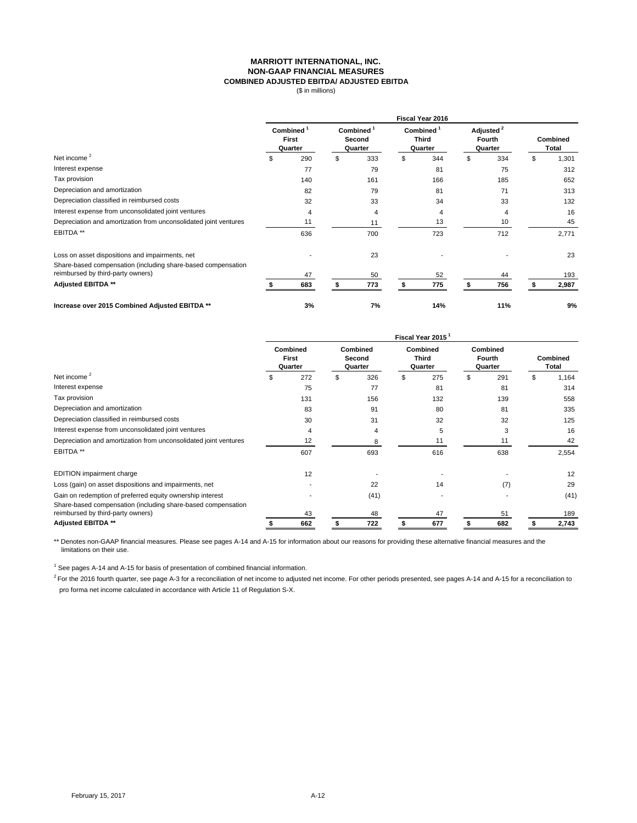### **MARRIOTT INTERNATIONAL, INC. NON-GAAP FINANCIAL MEASURES COMBINED ADJUSTED EBITDA/ ADJUSTED EBITDA**

(\$ in millions)

|                                                                  | Fiscal Year 2016                    |     |                               |     |                                     |     |                                            |     |                   |       |  |
|------------------------------------------------------------------|-------------------------------------|-----|-------------------------------|-----|-------------------------------------|-----|--------------------------------------------|-----|-------------------|-------|--|
|                                                                  | <b>Combined</b><br>First<br>Quarter |     | Combined<br>Second<br>Quarter |     | Combined<br><b>Third</b><br>Quarter |     | Adjusted <sup>2</sup><br>Fourth<br>Quarter |     | Combined<br>Total |       |  |
| Net income <sup>2</sup>                                          | \$                                  | 290 | \$                            | 333 | \$                                  | 344 | \$                                         | 334 | \$                | 1,301 |  |
| Interest expense                                                 |                                     | 77  |                               | 79  |                                     | 81  |                                            | 75  |                   | 312   |  |
| Tax provision                                                    |                                     | 140 |                               | 161 |                                     | 166 |                                            | 185 |                   | 652   |  |
| Depreciation and amortization                                    |                                     | 82  |                               | 79  |                                     | 81  |                                            | 71  |                   | 313   |  |
| Depreciation classified in reimbursed costs                      |                                     | 32  |                               | 33  |                                     | 34  |                                            | 33  |                   | 132   |  |
| Interest expense from unconsolidated joint ventures              |                                     | 4   |                               | 4   |                                     | 4   |                                            | 4   |                   | 16    |  |
| Depreciation and amortization from unconsolidated joint ventures |                                     | 11  |                               | 11  |                                     | 13  |                                            | 10  |                   | 45    |  |
| EBITDA **                                                        |                                     | 636 |                               | 700 |                                     | 723 |                                            | 712 |                   | 2,771 |  |
| Loss on asset dispositions and impairments, net                  |                                     |     |                               | 23  |                                     |     |                                            |     |                   | 23    |  |
| Share-based compensation (including share-based compensation     |                                     |     |                               |     |                                     |     |                                            |     |                   |       |  |
| reimbursed by third-party owners)                                |                                     | 47  |                               | 50  |                                     | 52  |                                            | 44  |                   | 193   |  |
| <b>Adjusted EBITDA **</b>                                        |                                     | 683 |                               | 773 |                                     | 775 |                                            | 756 |                   | 2,987 |  |
| Increase over 2015 Combined Adjusted EBITDA **                   |                                     | 3%  |                               | 7%  |                                     | 14% |                                            | 11% |                   | 9%    |  |

|                                                                  | Fiscal Year 2015 |                                     |    |                               |    |                                     |    |                               |    |                          |  |
|------------------------------------------------------------------|------------------|-------------------------------------|----|-------------------------------|----|-------------------------------------|----|-------------------------------|----|--------------------------|--|
|                                                                  |                  | <b>Combined</b><br>First<br>Quarter |    | Combined<br>Second<br>Quarter |    | Combined<br><b>Third</b><br>Quarter |    | Combined<br>Fourth<br>Quarter |    | <b>Combined</b><br>Total |  |
| Net income <sup>2</sup>                                          |                  | 272                                 | \$ | 326                           | \$ | 275                                 | \$ | 291                           | \$ | 1,164                    |  |
| Interest expense                                                 |                  | 75                                  |    | 77                            |    | 81                                  |    | 81                            |    | 314                      |  |
| Tax provision                                                    |                  | 131                                 |    | 156                           |    | 132                                 |    | 139                           |    | 558                      |  |
| Depreciation and amortization                                    |                  | 83                                  |    | 91                            |    | 80                                  |    | 81                            |    | 335                      |  |
| Depreciation classified in reimbursed costs                      |                  | 30                                  |    | 31                            |    | 32                                  |    | 32                            |    | 125                      |  |
| Interest expense from unconsolidated joint ventures              |                  | 4                                   |    | 4                             |    | 5                                   |    | 3                             |    | 16                       |  |
| Depreciation and amortization from unconsolidated joint ventures |                  | 12                                  |    |                               |    | 11                                  |    | 11                            |    | 42                       |  |
| EBITDA **                                                        |                  | 607                                 |    | 693                           |    | 616                                 |    | 638                           |    | 2,554                    |  |
| EDITION impairment charge                                        |                  | 12                                  |    |                               |    |                                     |    |                               |    | 12                       |  |
| Loss (gain) on asset dispositions and impairments, net           |                  |                                     |    | 22                            |    | 14                                  |    | (7)                           |    | 29                       |  |
| Gain on redemption of preferred equity ownership interest        |                  |                                     |    | (41)                          |    |                                     |    |                               |    | (41)                     |  |
| Share-based compensation (including share-based compensation     |                  |                                     |    |                               |    |                                     |    |                               |    |                          |  |
| reimbursed by third-party owners)                                |                  | 43                                  |    | 48                            |    | 47                                  |    | 51                            |    | 189                      |  |
| <b>Adjusted EBITDA **</b>                                        |                  | 662                                 |    | 722                           |    | 677                                 |    | 682                           |    | 2,743                    |  |

\*\* Denotes non-GAAP financial measures. Please see pages A-14 and A-15 for information about our reasons for providing these alternative financial measures and the limitations on their use.

 $1$  See pages A-14 and A-15 for basis of presentation of combined financial information.

<sup>2</sup> For the 2016 fourth quarter, see page A-3 for a reconciliation of net income to adjusted net income. For other periods presented, see pages A-14 and A-15 for a reconciliation to pro forma net income calculated in accordance with Article 11 of Regulation S-X.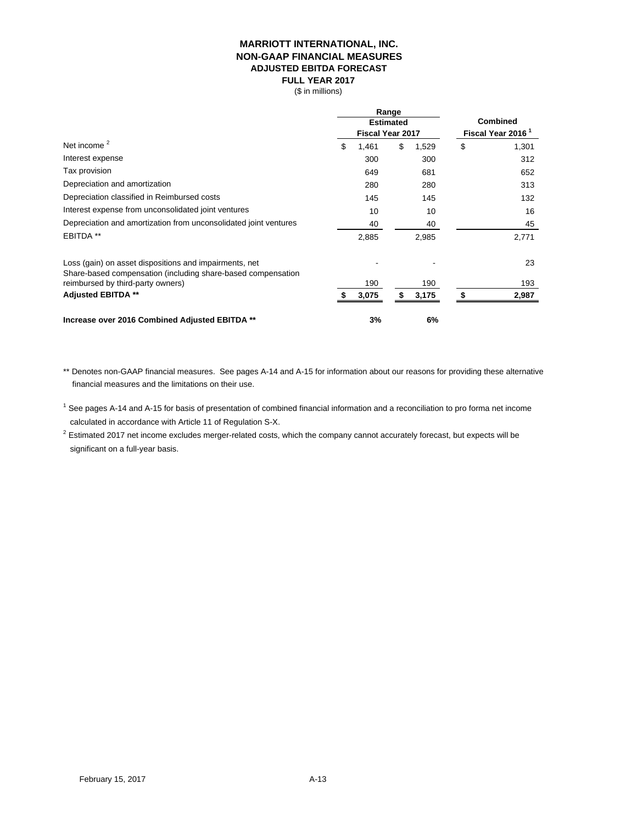# **MARRIOTT INTERNATIONAL, INC. NON-GAAP FINANCIAL MEASURES ADJUSTED EBITDA FORECAST FULL YEAR 2017**

(\$ in millions)

|                                                                                                                        |             | Range<br><b>Estimated</b><br>Fiscal Year 2017 | <b>Combined</b><br>Fiscal Year 2016 <sup>1</sup> |
|------------------------------------------------------------------------------------------------------------------------|-------------|-----------------------------------------------|--------------------------------------------------|
| Net income $2$                                                                                                         | \$<br>1,461 | \$<br>1,529                                   | \$<br>1,301                                      |
| Interest expense                                                                                                       | 300         | 300                                           | 312                                              |
| Tax provision                                                                                                          | 649         | 681                                           | 652                                              |
| Depreciation and amortization                                                                                          | 280         | 280                                           | 313                                              |
| Depreciation classified in Reimbursed costs                                                                            | 145         | 145                                           | 132                                              |
| Interest expense from unconsolidated joint ventures                                                                    | 10          | 10                                            | 16                                               |
| Depreciation and amortization from unconsolidated joint ventures                                                       | 40          | 40                                            | 45                                               |
| EBITDA <sup>**</sup>                                                                                                   | 2,885       | 2,985                                         | 2,771                                            |
| Loss (gain) on asset dispositions and impairments, net<br>Share-based compensation (including share-based compensation |             |                                               | 23                                               |
| reimbursed by third-party owners)                                                                                      | 190         | 190                                           | 193                                              |
| <b>Adjusted EBITDA **</b>                                                                                              | 3,075       | 3,175                                         | 2,987                                            |
| Increase over 2016 Combined Adjusted EBITDA **                                                                         | 3%          | 6%                                            |                                                  |

\*\* Denotes non-GAAP financial measures. See pages A-14 and A-15 for information about our reasons for providing these alternative financial measures and the limitations on their use.

<sup>1</sup> See pages A-14 and A-15 for basis of presentation of combined financial information and a reconciliation to pro forma net income calculated in accordance with Article 11 of Regulation S-X.

 $^2$  Estimated 2017 net income excludes merger-related costs, which the company cannot accurately forecast, but expects will be significant on a full-year basis.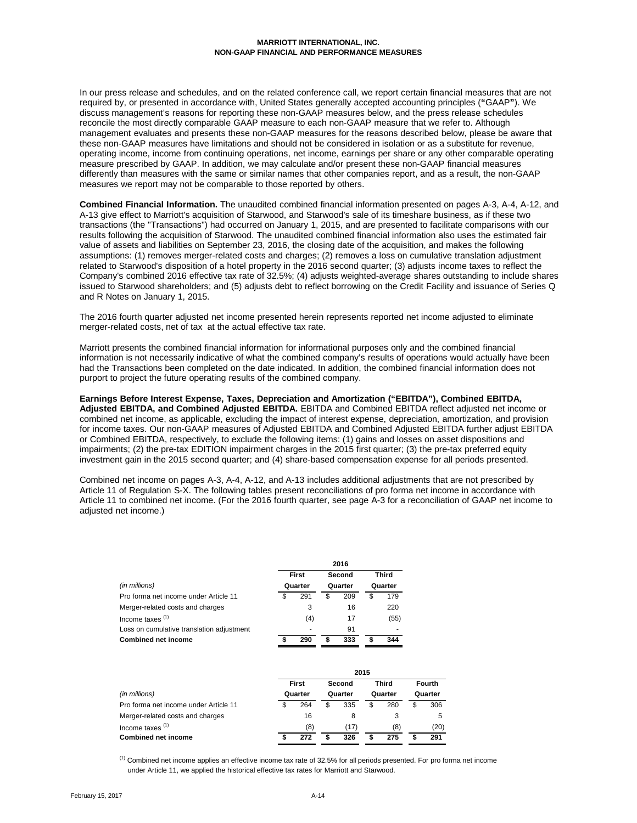#### **MARRIOTT INTERNATIONAL, INC. NON-GAAP FINANCIAL AND PERFORMANCE MEASURES**

In our press release and schedules, and on the related conference call, we report certain financial measures that are not required by, or presented in accordance with, United States generally accepted accounting principles (**"**GAAP**"**). We discuss management's reasons for reporting these non-GAAP measures below, and the press release schedules reconcile the most directly comparable GAAP measure to each non-GAAP measure that we refer to. Although management evaluates and presents these non-GAAP measures for the reasons described below, please be aware that these non-GAAP measures have limitations and should not be considered in isolation or as a substitute for revenue, operating income, income from continuing operations, net income, earnings per share or any other comparable operating measure prescribed by GAAP. In addition, we may calculate and/or present these non-GAAP financial measures differently than measures with the same or similar names that other companies report, and as a result, the non-GAAP measures we report may not be comparable to those reported by others.

**Combined Financial Information.** The unaudited combined financial information presented on pages A-3, A-4, A-12, and A-13 give effect to Marriott's acquisition of Starwood, and Starwood's sale of its timeshare business, as if these two transactions (the "Transactions") had occurred on January 1, 2015, and are presented to facilitate comparisons with our results following the acquisition of Starwood. The unaudited combined financial information also uses the estimated fair value of assets and liabilities on September 23, 2016, the closing date of the acquisition, and makes the following assumptions: (1) removes merger-related costs and charges; (2) removes a loss on cumulative translation adjustment related to Starwood's disposition of a hotel property in the 2016 second quarter; (3) adjusts income taxes to reflect the Company's combined 2016 effective tax rate of 32.5%; (4) adjusts weighted-average shares outstanding to include shares issued to Starwood shareholders; and (5) adjusts debt to reflect borrowing on the Credit Facility and issuance of Series Q and R Notes on January 1, 2015.

The 2016 fourth quarter adjusted net income presented herein represents reported net income adjusted to eliminate merger-related costs, net of tax at the actual effective tax rate.

Marriott presents the combined financial information for informational purposes only and the combined financial information is not necessarily indicative of what the combined company's results of operations would actually have been had the Transactions been completed on the date indicated. In addition, the combined financial information does not purport to project the future operating results of the combined company.

## **Earnings Before Interest Expense, Taxes, Depreciation and Amortization ("EBITDA"), Combined EBITDA,**

**Adjusted EBITDA, and Combined Adjusted EBITDA.** EBITDA and Combined EBITDA reflect adjusted net income or combined net income, as applicable, excluding the impact of interest expense, depreciation, amortization, and provision for income taxes. Our non-GAAP measures of Adjusted EBITDA and Combined Adjusted EBITDA further adjust EBITDA or Combined EBITDA, respectively, to exclude the following items: (1) gains and losses on asset dispositions and impairments; (2) the pre-tax EDITION impairment charges in the 2015 first quarter; (3) the pre-tax preferred equity investment gain in the 2015 second quarter; and (4) share-based compensation expense for all periods presented.

Combined net income on pages A-3, A-4, A-12, and A-13 includes additional adjustments that are not prescribed by Article 11 of Regulation S-X. The following tables present reconciliations of pro forma net income in accordance with Article 11 to combined net income. (For the 2016 fourth quarter, see page A-3 for a reconciliation of GAAP net income to adjusted net income.)

|                                           | 2016               |       |        |         |       |      |  |  |  |  |  |
|-------------------------------------------|--------------------|-------|--------|---------|-------|------|--|--|--|--|--|
|                                           |                    | First | Second |         | Third |      |  |  |  |  |  |
| (in millions)                             | Quarter<br>Quarter |       |        | Quarter |       |      |  |  |  |  |  |
| Pro forma net income under Article 11     | S                  | 291   | \$     | 209     | \$    | 179  |  |  |  |  |  |
| Merger-related costs and charges          |                    | 3     |        | 16      |       | 220  |  |  |  |  |  |
| Income taxes $(1)$                        |                    | (4)   |        | 17      |       | (55) |  |  |  |  |  |
| Loss on cumulative translation adjustment |                    | ۰     |        | 91      |       |      |  |  |  |  |  |
| Combined net income                       |                    | 290   | S      | 333     |       | 344  |  |  |  |  |  |

|                                       | 2015    |       |         |        |         |         |    |               |  |  |  |
|---------------------------------------|---------|-------|---------|--------|---------|---------|----|---------------|--|--|--|
|                                       |         | First |         | Second |         | Third   |    | <b>Fourth</b> |  |  |  |
| (in millions)                         | Quarter |       | Quarter |        | Quarter | Quarter |    |               |  |  |  |
| Pro forma net income under Article 11 | \$      | 264   | \$      | 335    | \$      | 280     | \$ | 306           |  |  |  |
| Merger-related costs and charges      |         | 16    |         | 8      |         | 3       |    | 5             |  |  |  |
| Income taxes $(1)$                    |         | (8)   |         | (17)   |         | (8)     |    | (20)          |  |  |  |
| Combined net income                   |         | 272   |         | 326    |         | 275     |    | 291           |  |  |  |

 $<sup>(1)</sup>$  Combined net income applies an effective income tax rate of 32.5% for all periods presented. For pro forma net income</sup> under Article 11, we applied the historical effective tax rates for Marriott and Starwood.